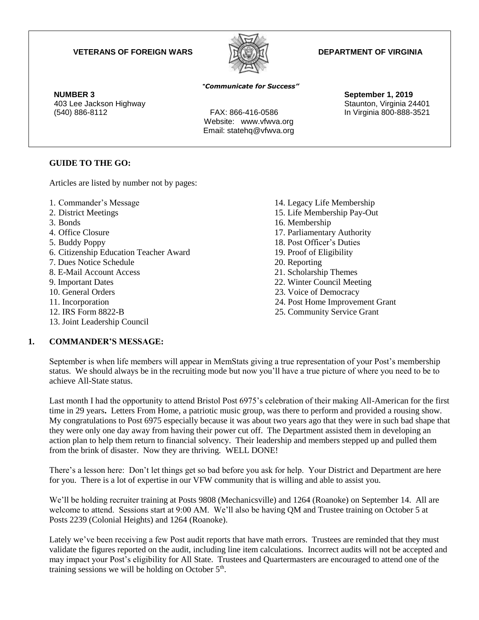#### **VETERANS OF FOREIGN WARS DEPARTMENT OF VIRGINIA**



 **NUMBER 3 September 1, 2019** 403 Lee Jackson Highway November 2012 Staunton, Virginia 24401 (540) 886-8112 FAX: 866-416-0586 In Virginia 800-888-3521

#### "*Communicate for Success"*

Website: www.vfwva.org Email: statehq@vfwva.org

### **GUIDE TO THE GO:**

Articles are listed by number not by pages:

- 1. Commander's Message
- 2. District Meetings
- 3. Bonds
- 4. Office Closure
- 5. Buddy Poppy
- 6. Citizenship Education Teacher Award
- 7. Dues Notice Schedule
- 8. E-Mail Account Access
- 9. Important Dates
- 10. General Orders
- 11. Incorporation
- 12. IRS Form 8822-B
- 13. Joint Leadership Council
- **1. COMMANDER'S MESSAGE:**
- 14. Legacy Life Membership 15. Life Membership Pay-Out 16. Membership 17. Parliamentary Authority 18. Post Officer's Duties 19. Proof of Eligibility 20. Reporting 21. Scholarship Themes 22. Winter Council Meeting 23. Voice of Democracy 24. Post Home Improvement Grant 25. Community Service Grant
- September is when life members will appear in MemStats giving a true representation of your Post's membership status. We should always be in the recruiting mode but now you'll have a true picture of where you need to be to achieve All-State status.

Last month I had the opportunity to attend Bristol Post 6975's celebration of their making All-American for the first time in 29 years**.** Letters From Home, a patriotic music group, was there to perform and provided a rousing show. My congratulations to Post 6975 especially because it was about two years ago that they were in such bad shape that they were only one day away from having their power cut off. The Department assisted them in developing an action plan to help them return to financial solvency. Their leadership and members stepped up and pulled them from the brink of disaster. Now they are thriving. WELL DONE!

There's a lesson here: Don't let things get so bad before you ask for help. Your District and Department are here for you. There is a lot of expertise in our VFW community that is willing and able to assist you.

We'll be holding recruiter training at Posts 9808 (Mechanicsville) and 1264 (Roanoke) on September 14. All are welcome to attend. Sessions start at 9:00 AM. We'll also be having OM and Trustee training on October 5 at Posts 2239 (Colonial Heights) and 1264 (Roanoke).

Lately we've been receiving a few Post audit reports that have math errors. Trustees are reminded that they must validate the figures reported on the audit, including line item calculations. Incorrect audits will not be accepted and may impact your Post's eligibility for All State. Trustees and Quartermasters are encouraged to attend one of the training sessions we will be holding on October  $5<sup>th</sup>$ .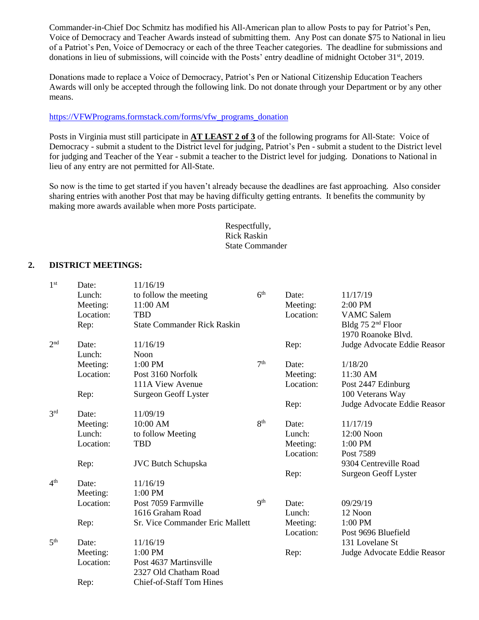Commander-in-Chief Doc Schmitz has modified his All-American plan to allow Posts to pay for Patriot's Pen, Voice of Democracy and Teacher Awards instead of submitting them. Any Post can donate \$75 to National in lieu of a Patriot's Pen, Voice of Democracy or each of the three Teacher categories. The deadline for submissions and donations in lieu of submissions, will coincide with the Posts' entry deadline of midnight October 31st, 2019.

Donations made to replace a Voice of Democracy, Patriot's Pen or National Citizenship Education Teachers Awards will only be accepted through the following link. Do not donate through your Department or by any other means.

#### [https://VFWPrograms.formstack.com/forms/vfw\\_programs\\_donation](https://vfwprograms.formstack.com/forms/vfw_programs_donation)

Posts in Virginia must still participate in **AT LEAST 2 of 3** of the following programs for All-State: Voice of Democracy - submit a student to the District level for judging, Patriot's Pen - submit a student to the District level for judging and Teacher of the Year - submit a teacher to the District level for judging. Donations to National in lieu of any entry are not permitted for All-State.

So now is the time to get started if you haven't already because the deadlines are fast approaching. Also consider sharing entries with another Post that may be having difficulty getting entrants. It benefits the community by making more awards available when more Posts participate.

> Respectfully, Rick Raskin State Commander

#### **2. DISTRICT MEETINGS:**

| 1 <sup>st</sup> | Date:     | 11/16/19                           |                 |           |                               |
|-----------------|-----------|------------------------------------|-----------------|-----------|-------------------------------|
|                 | Lunch:    | to follow the meeting              | 6 <sup>th</sup> | Date:     | 11/17/19                      |
|                 | Meeting:  | 11:00 AM                           |                 | Meeting:  | 2:00 PM                       |
|                 | Location: | <b>TBD</b>                         |                 | Location: | <b>VAMC</b> Salem             |
|                 | Rep:      | <b>State Commander Rick Raskin</b> |                 |           | Bldg 75 2 <sup>nd</sup> Floor |
|                 |           |                                    |                 |           | 1970 Roanoke Blvd.            |
| 2 <sup>nd</sup> | Date:     | 11/16/19                           |                 | Rep:      | Judge Advocate Eddie Reasor   |
|                 | Lunch:    | Noon                               |                 |           |                               |
|                 | Meeting:  | 1:00 PM                            | 7 <sup>th</sup> | Date:     | 1/18/20                       |
|                 | Location: | Post 3160 Norfolk                  |                 | Meeting:  | 11:30 AM                      |
|                 |           | 111A View Avenue                   |                 | Location: | Post 2447 Edinburg            |
|                 | Rep:      | Surgeon Geoff Lyster               |                 |           | 100 Veterans Way              |
|                 |           |                                    |                 | Rep:      | Judge Advocate Eddie Reasor   |
| 3 <sup>rd</sup> | Date:     | 11/09/19                           |                 |           |                               |
|                 | Meeting:  | 10:00 AM                           | 8 <sup>th</sup> | Date:     | 11/17/19                      |
|                 | Lunch:    | to follow Meeting                  |                 | Lunch:    | 12:00 Noon                    |
|                 | Location: | <b>TBD</b>                         |                 | Meeting:  | 1:00 PM                       |
|                 |           |                                    |                 | Location: | Post 7589                     |
|                 | Rep:      | <b>JVC Butch Schupska</b>          |                 |           | 9304 Centreville Road         |
|                 |           |                                    |                 | Rep:      | Surgeon Geoff Lyster          |
| 4 <sup>th</sup> | Date:     | 11/16/19                           |                 |           |                               |
|                 | Meeting:  | 1:00 PM                            |                 |           |                               |
|                 | Location: | Post 7059 Farmville                | 9 <sup>th</sup> | Date:     | 09/29/19                      |
|                 |           | 1616 Graham Road                   |                 | Lunch:    | 12 Noon                       |
|                 | Rep:      | Sr. Vice Commander Eric Mallett    |                 | Meeting:  | 1:00 PM                       |
|                 |           |                                    |                 | Location: | Post 9696 Bluefield           |
| 5 <sup>th</sup> | Date:     | 11/16/19                           |                 |           | 131 Lovelane St               |
|                 | Meeting:  | 1:00 PM                            |                 | Rep:      | Judge Advocate Eddie Reasor   |
|                 | Location: | Post 4637 Martinsville             |                 |           |                               |
|                 |           | 2327 Old Chatham Road              |                 |           |                               |
|                 | Rep:      | Chief-of-Staff Tom Hines           |                 |           |                               |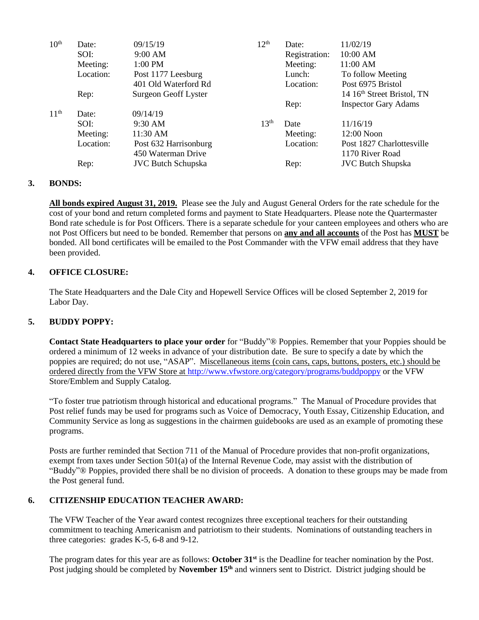| 10 <sup>th</sup> | Date:     | 09/15/19                  | 12 <sup>th</sup> | Date:         | 11/02/19                               |
|------------------|-----------|---------------------------|------------------|---------------|----------------------------------------|
|                  | SOI:      | 9:00 AM                   |                  | Registration: | 10:00 AM                               |
|                  | Meeting:  | $1:00$ PM                 |                  | Meeting:      | 11:00 AM                               |
|                  | Location: | Post 1177 Leesburg        |                  | Lunch:        | To follow Meeting                      |
|                  |           | 401 Old Waterford Rd      |                  | Location:     | Post 6975 Bristol                      |
|                  | Rep:      | Surgeon Geoff Lyster      |                  |               | 14 16 <sup>th</sup> Street Bristol, TN |
|                  |           |                           |                  | Rep:          | <b>Inspector Gary Adams</b>            |
| 11 <sup>th</sup> | Date:     | 09/14/19                  |                  |               |                                        |
|                  | SOI:      | $9:30 \text{ AM}$         | 13 <sup>th</sup> | Date          | 11/16/19                               |
|                  | Meeting:  | 11:30 AM                  |                  | Meeting:      | 12:00 Noon                             |
|                  | Location: | Post 632 Harrisonburg     |                  | Location:     | Post 1827 Charlottesville              |
|                  |           | 450 Waterman Drive        |                  |               | 1170 River Road                        |
|                  | Rep:      | <b>JVC Butch Schupska</b> |                  | Rep:          | <b>JVC Butch Shupska</b>               |
|                  |           |                           |                  |               |                                        |

#### **3. BONDS:**

**All bonds expired August 31, 2019.** Please see the July and August General Orders for the rate schedule for the cost of your bond and return completed forms and payment to State Headquarters. Please note the Quartermaster Bond rate schedule is for Post Officers. There is a separate schedule for your canteen employees and others who are not Post Officers but need to be bonded. Remember that persons on **any and all accounts** of the Post has **MUST** be bonded. All bond certificates will be emailed to the Post Commander with the VFW email address that they have been provided.

#### **4. OFFICE CLOSURE:**

The State Headquarters and the Dale City and Hopewell Service Offices will be closed September 2, 2019 for Labor Day.

#### **5. BUDDY POPPY:**

**Contact State Headquarters to place your order** for "Buddy"® Poppies. Remember that your Poppies should be ordered a minimum of 12 weeks in advance of your distribution date. Be sure to specify a date by which the poppies are required; do not use, "ASAP". Miscellaneous items (coin cans, caps, buttons, posters, etc.) should be ordered directly from the VFW Store at<http://www.vfwstore.org/category/programs/buddpoppy> or the VFW Store/Emblem and Supply Catalog.

"To foster true patriotism through historical and educational programs." The Manual of Procedure provides that Post relief funds may be used for programs such as Voice of Democracy, Youth Essay, Citizenship Education, and Community Service as long as suggestions in the chairmen guidebooks are used as an example of promoting these programs.

Posts are further reminded that Section 711 of the Manual of Procedure provides that non-profit organizations, exempt from taxes under Section 501(a) of the Internal Revenue Code, may assist with the distribution of "Buddy"® Poppies, provided there shall be no division of proceeds. A donation to these groups may be made from the Post general fund.

#### **6. CITIZENSHIP EDUCATION TEACHER AWARD:**

The VFW Teacher of the Year award contest recognizes three exceptional teachers for their outstanding commitment to teaching Americanism and patriotism to their students. Nominations of outstanding teachers in three categories: grades K-5, 6-8 and 9-12.

The program dates for this year are as follows: **October 31st** is the Deadline for teacher nomination by the Post. Post judging should be completed by **November 15th** and winners sent to District. District judging should be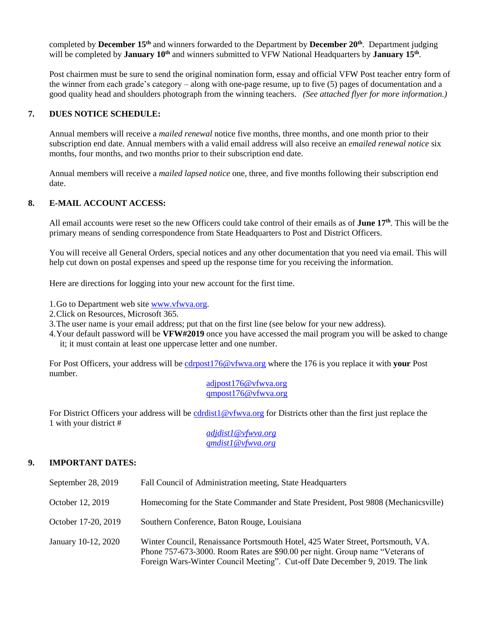completed by **December 15th** and winners forwarded to the Department by **December 20th**. Department judging will be completed by **January 10th** and winners submitted to VFW National Headquarters by **January 15th** .

Post chairmen must be sure to send the original nomination form, essay and official VFW Post teacher entry form of the winner from each grade's category – along with one-page resume, up to five (5) pages of documentation and a good quality head and shoulders photograph from the winning teachers. *(See attached flyer for more information.)*

#### **7. DUES NOTICE SCHEDULE:**

Annual members will receive a *mailed renewal* notice five months, three months, and one month prior to their subscription end date. Annual members with a valid email address will also receive an *emailed renewal notice* six months, four months, and two months prior to their subscription end date.

Annual members will receive a *mailed lapsed notice* one, three, and five months following their subscription end date.

#### **8. E-MAIL ACCOUNT ACCESS:**

All email accounts were reset so the new Officers could take control of their emails as of **June 17th** . This will be the primary means of sending correspondence from State Headquarters to Post and District Officers.

You will receive all General Orders, special notices and any other documentation that you need via email. This will help cut down on postal expenses and speed up the response time for you receiving the information.

Here are directions for logging into your new account for the first time.

1.Go to Department web site [www.vfwva.org.](http://www.vfwva.org/)

- 2.Click on Resources, Microsoft 365.
- 3.The user name is your email address; put that on the first line (see below for your new address).
- 4.Your default password will be **VFW#2019** once you have accessed the mail program you will be asked to change it; it must contain at least one uppercase letter and one number.

For Post Officers, your address will be [cdrpost176@vfwva.org](../AppData/Local/Microsoft/Windows/INetCache/Content.Outlook/AppData/Local/Microsoft/Windows/INetCache/2018-2019/January%202018/cdrpost176@vfwva.org) where the 176 is you replace it with **your** Post number.

> [adjpost176@vfwva.org](mailto:adjpost176@vfwva.org) [qmpost176@vfwva.org](mailto:qmpost176@vfwva.org)

For District Officers your address will be [cdrdist1@vfwva.org](mailto:cdrdist1@vfwva.org) for Districts other than the first just replace the 1 with your district #

> *[adjdist1@vfwva.org](mailto:adjdist1@vfwva.org) [qmdist1@vfwva.org](mailto:qmdist1@vfwva.org)*

### **9. IMPORTANT DATES:**

| September 28, 2019  | Fall Council of Administration meeting, State Headquarters                                                                                                                                                                                        |
|---------------------|---------------------------------------------------------------------------------------------------------------------------------------------------------------------------------------------------------------------------------------------------|
| October 12, 2019    | Homecoming for the State Commander and State President, Post 9808 (Mechanicsville)                                                                                                                                                                |
| October 17-20, 2019 | Southern Conference, Baton Rouge, Louisiana                                                                                                                                                                                                       |
| January 10-12, 2020 | Winter Council, Renaissance Portsmouth Hotel, 425 Water Street, Portsmouth, VA.<br>Phone 757-673-3000. Room Rates are \$90.00 per night. Group name "Veterans of<br>Foreign Wars-Winter Council Meeting". Cut-off Date December 9, 2019. The link |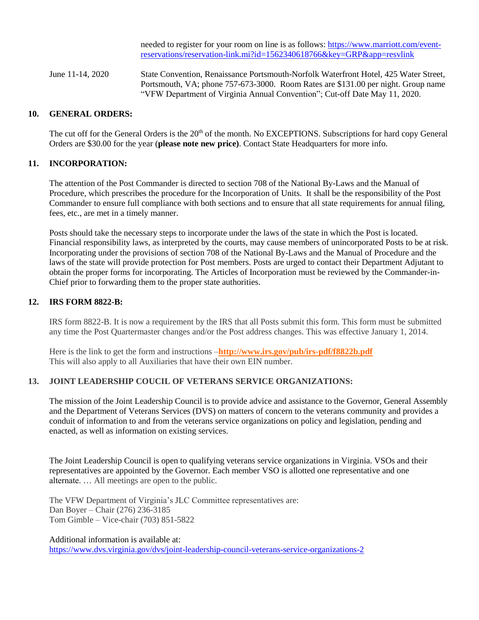needed to register for your room on line is as follows: [https://www.marriott.com/event](https://www.marriott.com/event-reservations/reservation-link.mi?id=1562340618766&key=GRP&app=resvlink)[reservations/reservation-link.mi?id=1562340618766&key=GRP&app=resvlink](https://www.marriott.com/event-reservations/reservation-link.mi?id=1562340618766&key=GRP&app=resvlink)

June 11-14, 2020 State Convention, Renaissance Portsmouth-Norfolk Waterfront Hotel, 425 Water Street, Portsmouth, VA; phone 757-673-3000. Room Rates are \$131.00 per night. Group name "VFW Department of Virginia Annual Convention"; Cut-off Date May 11, 2020.

#### **10. GENERAL ORDERS:**

The cut off for the General Orders is the 20<sup>th</sup> of the month. No EXCEPTIONS. Subscriptions for hard copy General Orders are \$30.00 for the year (**please note new price)**. Contact State Headquarters for more info.

#### **11. INCORPORATION:**

The attention of the Post Commander is directed to section 708 of the National By-Laws and the Manual of Procedure, which prescribes the procedure for the Incorporation of Units. It shall be the responsibility of the Post Commander to ensure full compliance with both sections and to ensure that all state requirements for annual filing, fees, etc., are met in a timely manner.

Posts should take the necessary steps to incorporate under the laws of the state in which the Post is located. Financial responsibility laws, as interpreted by the courts, may cause members of unincorporated Posts to be at risk. Incorporating under the provisions of section 708 of the National By-Laws and the Manual of Procedure and the laws of the state will provide protection for Post members. Posts are urged to contact their Department Adjutant to obtain the proper forms for incorporating. The Articles of Incorporation must be reviewed by the Commander-in-Chief prior to forwarding them to the proper state authorities.

#### **12. IRS FORM 8822-B:**

IRS form 8822-B. It is now a requirement by the IRS that all Posts submit this form. This form must be submitted any time the Post Quartermaster changes and/or the Post address changes. This was effective January 1, 2014.

Here is the link to get the form and instructions –**<http://www.irs.gov/pub/irs-pdf/f8822b.pdf>** This will also apply to all Auxiliaries that have their own EIN number.

### **13. JOINT LEADERSHIP COUCIL OF VETERANS SERVICE ORGANIZATIONS:**

The mission of the Joint Leadership Council is to provide advice and assistance to the Governor, General Assembly and the Department of Veterans Services (DVS) on matters of concern to the veterans community and provides a conduit of information to and from the veterans service organizations on policy and legislation, pending and enacted, as well as information on existing services.

The Joint Leadership Council is open to qualifying veterans service organizations in Virginia. VSOs and their representatives are appointed by the Governor. Each member VSO is allotted one representative and one alternate. … All meetings are open to the public.

The VFW Department of Virginia's JLC Committee representatives are: Dan Boyer – Chair (276) 236-3185 Tom Gimble – Vice-chair (703) 851-5822

Additional information is available at:

<https://www.dvs.virginia.gov/dvs/joint-leadership-council-veterans-service-organizations-2>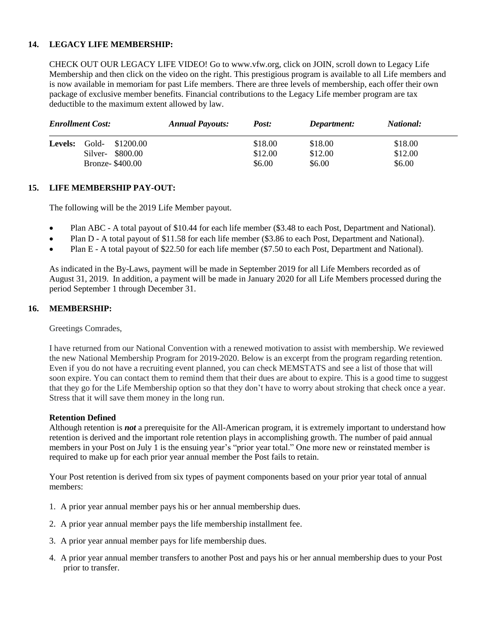#### **14. LEGACY LIFE MEMBERSHIP:**

CHECK OUT OUR LEGACY LIFE VIDEO! Go to www.vfw.org, click on JOIN, scroll down to Legacy Life Membership and then click on the video on the right. This prestigious program is available to all Life members and is now available in memoriam for past Life members. There are three levels of membership, each offer their own package of exclusive member benefits. Financial contributions to the Legacy Life member program are tax deductible to the maximum extent allowed by law.

| <b>Enrollment Cost:</b> |       | <b>Annual Payouts:</b><br>Post: |  | Department: | <i>National:</i> |         |
|-------------------------|-------|---------------------------------|--|-------------|------------------|---------|
| <b>Levels:</b>          | Gold- | \$1200.00                       |  | \$18.00     | \$18.00          | \$18.00 |
|                         |       | Silver- \$800.00                |  | \$12.00     | \$12.00          | \$12.00 |
|                         |       | <b>Bronze-</b> \$400.00         |  | \$6.00      | \$6.00           | \$6.00  |

#### **15. LIFE MEMBERSHIP PAY-OUT:**

The following will be the 2019 Life Member payout.

- Plan ABC A total payout of \$10.44 for each life member (\$3.48 to each Post, Department and National).
- Plan D A total payout of \$11.58 for each life member (\$3.86 to each Post, Department and National).
- Plan E A total payout of \$22.50 for each life member (\$7.50 to each Post, Department and National).

As indicated in the By-Laws, payment will be made in September 2019 for all Life Members recorded as of August 31, 2019. In addition, a payment will be made in January 2020 for all Life Members processed during the period September 1 through December 31.

#### **16. MEMBERSHIP:**

Greetings Comrades,

I have returned from our National Convention with a renewed motivation to assist with membership. We reviewed the new National Membership Program for 2019-2020. Below is an excerpt from the program regarding retention. Even if you do not have a recruiting event planned, you can check MEMSTATS and see a list of those that will soon expire. You can contact them to remind them that their dues are about to expire. This is a good time to suggest that they go for the Life Membership option so that they don't have to worry about stroking that check once a year. Stress that it will save them money in the long run.

#### **Retention Defined**

Although retention is *not* a prerequisite for the All-American program, it is extremely important to understand how retention is derived and the important role retention plays in accomplishing growth. The number of paid annual members in your Post on July 1 is the ensuing year's "prior year total." One more new or reinstated member is required to make up for each prior year annual member the Post fails to retain.

Your Post retention is derived from six types of payment components based on your prior year total of annual members:

- 1. A prior year annual member pays his or her annual membership dues.
- 2. A prior year annual member pays the life membership installment fee.
- 3. A prior year annual member pays for life membership dues.
- 4. A prior year annual member transfers to another Post and pays his or her annual membership dues to your Post prior to transfer.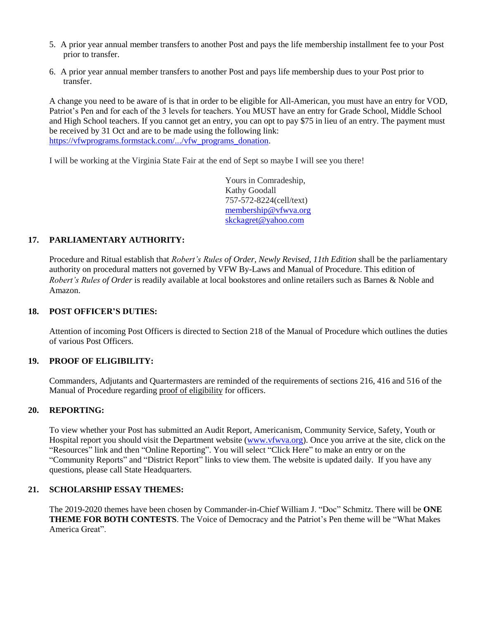- 5. A prior year annual member transfers to another Post and pays the life membership installment fee to your Post prior to transfer.
- 6. A prior year annual member transfers to another Post and pays life membership dues to your Post prior to transfer.

A change you need to be aware of is that in order to be eligible for All-American, you must have an entry for VOD, Patriot's Pen and for each of the 3 levels for teachers. You MUST have an entry for Grade School, Middle School and High School teachers. If you cannot get an entry, you can opt to pay \$75 in lieu of an entry. The payment must be received by 31 Oct and are to be made using the following link: [https://vfwprograms.formstack.com/.../vfw\\_programs\\_donation.](https://vfwprograms.formstack.com/.../vfw_programs_donation)

I will be working at the Virginia State Fair at the end of Sept so maybe I will see you there!

Yours in Comradeship, Kathy Goodall 757-572-8224(cell/text) [membership@vfwva.org](mailto:membership@vfwva.org) [skckagret@yahoo.com](mailto:skckagret@yahoo.com)

#### **17. PARLIAMENTARY AUTHORITY:**

Procedure and Ritual establish that *Robert's Rules of Order, Newly Revised, 11th Edition* shall be the parliamentary authority on procedural matters not governed by VFW By-Laws and Manual of Procedure. This edition of *Robert's Rules of Order* is readily available at local bookstores and online retailers such as Barnes & Noble and Amazon.

#### **18. POST OFFICER'S DUTIES:**

Attention of incoming Post Officers is directed to Section 218 of the Manual of Procedure which outlines the duties of various Post Officers.

#### **19. PROOF OF ELIGIBILITY:**

Commanders, Adjutants and Quartermasters are reminded of the requirements of sections 216, 416 and 516 of the Manual of Procedure regarding proof of eligibility for officers.

#### **20. REPORTING:**

To view whether your Post has submitted an Audit Report, Americanism, Community Service, Safety, Youth or Hospital report you should visit the Department website [\(www.vfwva.org\)](http://www.vfwva.org/). Once you arrive at the site, click on the "Resources" link and then "Online Reporting". You will select "Click Here" to make an entry or on the "Community Reports" and "District Report" links to view them. The website is updated daily. If you have any questions, please call State Headquarters.

#### **21. SCHOLARSHIP ESSAY THEMES:**

The 2019-2020 themes have been chosen by Commander-in-Chief William J. "Doc" Schmitz. There will be **ONE THEME FOR BOTH CONTESTS**. The Voice of Democracy and the Patriot's Pen theme will be "What Makes America Great".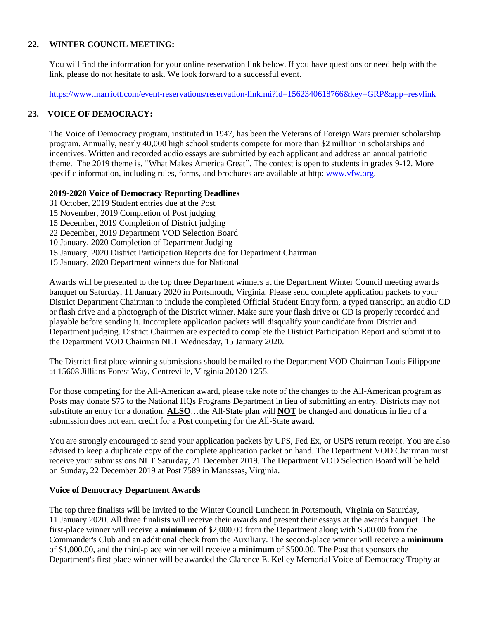### **22. WINTER COUNCIL MEETING:**

You will find the information for your online reservation link below. If you have questions or need help with the link, please do not hesitate to ask. We look forward to a successful event.

<https://www.marriott.com/event-reservations/reservation-link.mi?id=1562340618766&key=GRP&app=resvlink>

#### **23. VOICE OF DEMOCRACY:**

The Voice of Democracy program, instituted in 1947, has been the Veterans of Foreign Wars premier scholarship program. Annually, nearly 40,000 high school students compete for more than \$2 million in scholarships and incentives. Written and recorded audio essays are submitted by each applicant and address an annual patriotic theme. The 2019 theme is, "What Makes America Great". The contest is open to students in grades 9-12. More specific information, including rules, forms, and brochures are available at http[: www.vfw.org.](http://www.vfw.org/)

#### **2019-2020 Voice of Democracy Reporting Deadlines**

31 October, 2019 Student entries due at the Post 15 November, 2019 Completion of Post judging 15 December, 2019 Completion of District judging 22 December, 2019 Department VOD Selection Board 10 January, 2020 Completion of Department Judging 15 January, 2020 District Participation Reports due for Department Chairman 15 January, 2020 Department winners due for National

Awards will be presented to the top three Department winners at the Department Winter Council meeting awards banquet on Saturday, 11 January 2020 in Portsmouth, Virginia. Please send complete application packets to your District Department Chairman to include the completed Official Student Entry form, a typed transcript, an audio CD or flash drive and a photograph of the District winner. Make sure your flash drive or CD is properly recorded and playable before sending it. Incomplete application packets will disqualify your candidate from District and Department judging. District Chairmen are expected to complete the District Participation Report and submit it to the Department VOD Chairman NLT Wednesday, 15 January 2020.

The District first place winning submissions should be mailed to the Department VOD Chairman Louis Filippone at 15608 Jillians Forest Way, Centreville, Virginia 20120-1255.

For those competing for the All-American award, please take note of the changes to the All-American program as Posts may donate \$75 to the National HQs Programs Department in lieu of submitting an entry. Districts may not substitute an entry for a donation. **ALSO**…the All-State plan will **NOT** be changed and donations in lieu of a submission does not earn credit for a Post competing for the All-State award.

You are strongly encouraged to send your application packets by UPS, Fed Ex, or USPS return receipt. You are also advised to keep a duplicate copy of the complete application packet on hand. The Department VOD Chairman must receive your submissions NLT Saturday, 21 December 2019. The Department VOD Selection Board will be held on Sunday, 22 December 2019 at Post 7589 in Manassas, Virginia.

### **Voice of Democracy Department Awards**

The top three finalists will be invited to the Winter Council Luncheon in Portsmouth, Virginia on Saturday, 11 January 2020. All three finalists will receive their awards and present their essays at the awards banquet. The first-place winner will receive a **minimum** of \$2,000.00 from the Department along with \$500.00 from the Commander's Club and an additional check from the Auxiliary. The second-place winner will receive a **minimum** of \$1,000.00, and the third-place winner will receive a **minimum** of \$500.00. The Post that sponsors the Department's first place winner will be awarded the Clarence E. Kelley Memorial Voice of Democracy Trophy at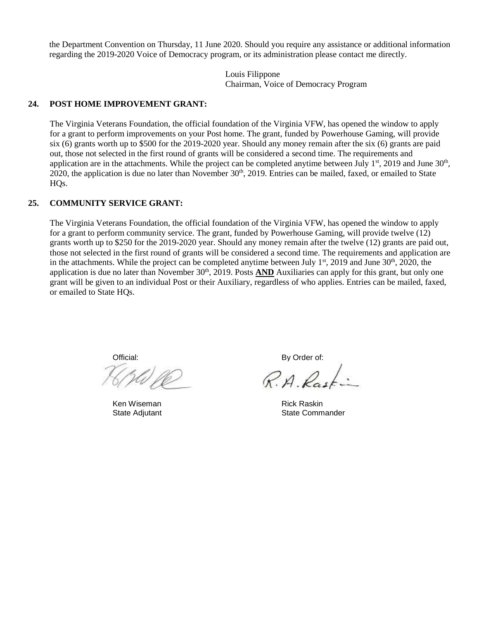the Department Convention on Thursday, 11 June 2020. Should you require any assistance or additional information regarding the 2019-2020 Voice of Democracy program, or its administration please contact me directly.

> Louis Filippone Chairman, Voice of Democracy Program

#### **24. POST HOME IMPROVEMENT GRANT:**

The Virginia Veterans Foundation, the official foundation of the Virginia VFW, has opened the window to apply for a grant to perform improvements on your Post home. The grant, funded by Powerhouse Gaming, will provide six (6) grants worth up to \$500 for the 2019-2020 year. Should any money remain after the six (6) grants are paid out, those not selected in the first round of grants will be considered a second time. The requirements and application are in the attachments. While the project can be completed anytime between July  $1<sup>st</sup>$ , 2019 and June  $30<sup>th</sup>$ , 2020, the application is due no later than November  $30<sup>th</sup>$ , 2019. Entries can be mailed, faxed, or emailed to State HQs.

#### **25. COMMUNITY SERVICE GRANT:**

The Virginia Veterans Foundation, the official foundation of the Virginia VFW, has opened the window to apply for a grant to perform community service. The grant, funded by Powerhouse Gaming, will provide twelve (12) grants worth up to \$250 for the 2019-2020 year. Should any money remain after the twelve (12) grants are paid out, those not selected in the first round of grants will be considered a second time. The requirements and application are in the attachments. While the project can be completed anytime between July  $1<sup>st</sup>$ , 2019 and June 30<sup>th</sup>, 2020, the application is due no later than November 30<sup>th</sup>, 2019. Posts **AND** Auxiliaries can apply for this grant, but only one grant will be given to an individual Post or their Auxiliary, regardless of who applies. Entries can be mailed, faxed, or emailed to State HQs.

Official: By Order of:

Ken Wiseman **Rick Raskin** 

 $RAD$ 

State Adjutant **State Commander**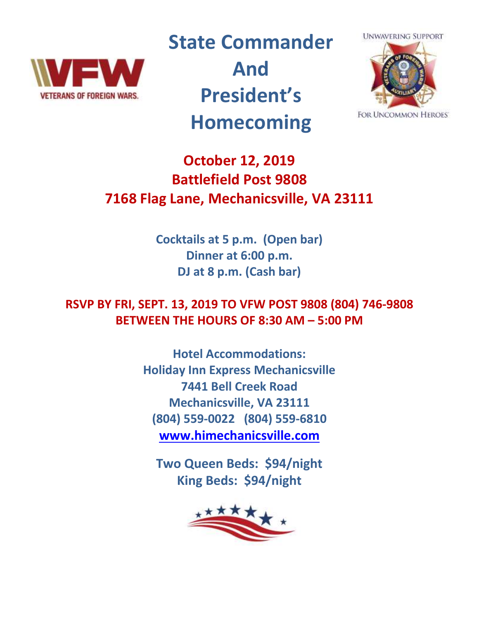

**State Commander And President's Homecoming**



**FOR UNCOMMON HEROES** 

# **October 12, 2019 Battlefield Post 9808 7168 Flag Lane, Mechanicsville, VA 23111**

**Cocktails at 5 p.m. (Open bar) Dinner at 6:00 p.m. DJ at 8 p.m. (Cash bar)**

**RSVP BY FRI, SEPT. 13, 2019 TO VFW POST 9808 (804) 746-9808 BETWEEN THE HOURS OF 8:30 AM – 5:00 PM** 

> **Hotel Accommodations: Holiday Inn Express Mechanicsville 7441 Bell Creek Road Mechanicsville, VA 23111 (804) 559-0022 (804) 559-6810 [www.himechanicsville.com](http://www.himechanicsville.com/)**

**Two Queen Beds: \$94/night King Beds: \$94/night**

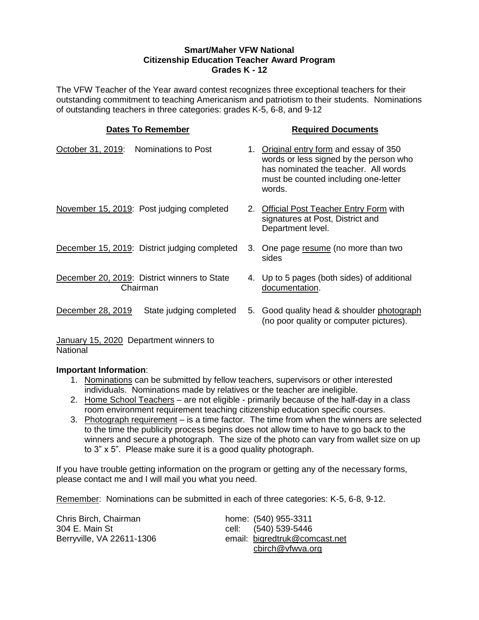#### **Smart/Maher VFW National Citizenship Education Teacher Award Program Grades K - 12**

The VFW Teacher of the Year award contest recognizes three exceptional teachers for their outstanding commitment to teaching Americanism and patriotism to their students. Nominations of outstanding teachers in three categories: grades K-5, 6-8, and 9-12

### **Dates To Remember Required Documents** October 31, 2019: Nominations to Post 1. Original entry form and essay of 350 words or less signed by the person who has nominated the teacher. All words must be counted including one-letter words. November 15, 2019: Post judging completed 2. Official Post Teacher Entry Form with signatures at Post, District and Department level. December 15, 2019: District judging completed 3. One page resume (no more than two sides December 20, 2019: District winners to State Chairman 4. Up to 5 pages (both sides) of additional documentation. December 28, 2019 State judging completed 5. Good quality head & shoulder photograph (no poor quality or computer pictures).

January 15, 2020 Department winners to National

### **Important Information**:

- 1. Nominations can be submitted by fellow teachers, supervisors or other interested individuals. Nominations made by relatives or the teacher are ineligible.
- 2. Home School Teachers are not eligible primarily because of the half-day in a class room environment requirement teaching citizenship education specific courses.
- 3. Photograph requirement is a time factor. The time from when the winners are selected to the time the publicity process begins does not allow time to have to go back to the winners and secure a photograph. The size of the photo can vary from wallet size on up to 3" x 5". Please make sure it is a good quality photograph.

If you have trouble getting information on the program or getting any of the necessary forms, please contact me and I will mail you what you need.

Remember: Nominations can be submitted in each of three categories: K-5, 6-8, 9-12.

| Chris Birch, Chairman     |  |
|---------------------------|--|
| 304 E. Main St            |  |
| Berryville, VA 22611-1306 |  |

home: (540) 955-3311 cell: (540) 539-5446 email: [bigredtruk@comcast.net](mailto:bigredtruk@comcast.net) cbirch@vfwva.org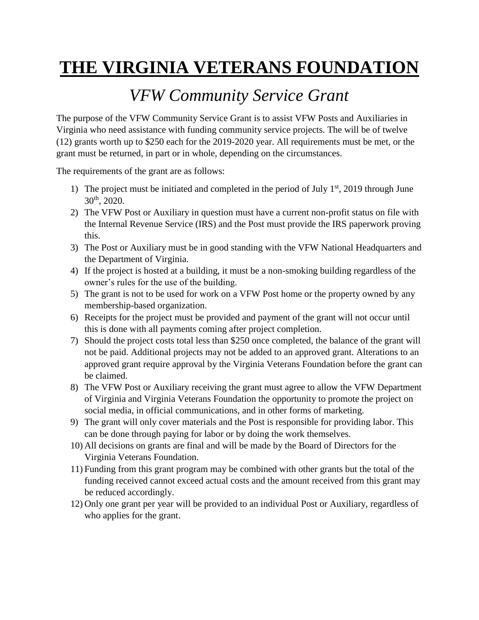### *VFW Community Service Grant*

The purpose of the VFW Community Service Grant is to assist VFW Posts and Auxiliaries in Virginia who need assistance with funding community service projects. The will be of twelve (12) grants worth up to \$250 each for the 2019-2020 year. All requirements must be met, or the grant must be returned, in part or in whole, depending on the circumstances.

The requirements of the grant are as follows:

- 1) The project must be initiated and completed in the period of July  $1<sup>st</sup>$ , 2019 through June  $30^{th}$ , 2020.
- 2) The VFW Post or Auxiliary in question must have a current non-profit status on file with the Internal Revenue Service (IRS) and the Post must provide the IRS paperwork proving this.
- 3) The Post or Auxiliary must be in good standing with the VFW National Headquarters and the Department of Virginia.
- 4) If the project is hosted at a building, it must be a non-smoking building regardless of the owner's rules for the use of the building.
- 5) The grant is not to be used for work on a VFW Post home or the property owned by any membership-based organization.
- 6) Receipts for the project must be provided and payment of the grant will not occur until this is done with all payments coming after project completion.
- 7) Should the project costs total less than \$250 once completed, the balance of the grant will not be paid. Additional projects may not be added to an approved grant. Alterations to an approved grant require approval by the Virginia Veterans Foundation before the grant can be claimed.
- 8) The VFW Post or Auxiliary receiving the grant must agree to allow the VFW Department of Virginia and Virginia Veterans Foundation the opportunity to promote the project on social media, in official communications, and in other forms of marketing.
- 9) The grant will only cover materials and the Post is responsible for providing labor. This can be done through paying for labor or by doing the work themselves.
- 10) All decisions on grants are final and will be made by the Board of Directors for the Virginia Veterans Foundation.
- 11) Funding from this grant program may be combined with other grants but the total of the funding received cannot exceed actual costs and the amount received from this grant may be reduced accordingly.
- 12) Only one grant per year will be provided to an individual Post or Auxiliary, regardless of who applies for the grant.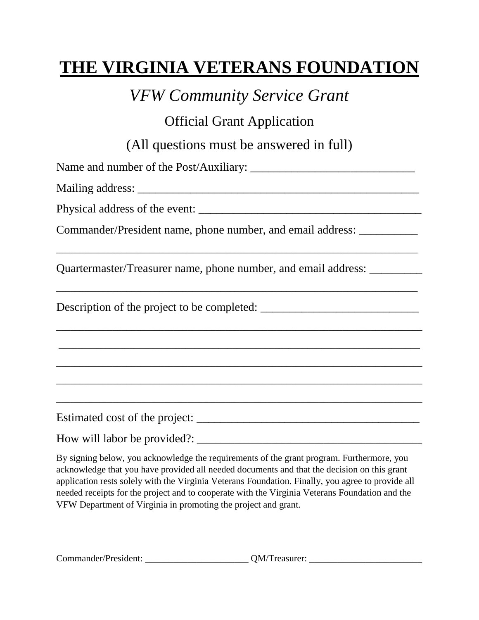*VFW Community Service Grant*

Official Grant Application

(All questions must be answered in full)

Name and number of the Post/Auxiliary: Mailing address: \_\_\_\_\_\_\_\_\_\_\_\_\_\_\_\_\_\_\_\_\_\_\_\_\_\_\_\_\_\_\_\_\_\_\_\_\_\_\_\_\_\_\_\_\_\_\_\_ Physical address of the event: \_\_\_\_\_\_\_\_\_\_\_\_\_\_\_\_\_\_\_\_\_\_\_\_\_\_\_\_\_\_\_\_\_\_\_\_\_\_ Commander/President name, phone number, and email address: \_\_\_\_\_\_\_\_\_\_ \_\_\_\_\_\_\_\_\_\_\_\_\_\_\_\_\_\_\_\_\_\_\_\_\_\_\_\_\_\_\_\_\_\_\_\_\_\_\_\_\_\_\_\_\_\_\_\_\_\_\_\_\_\_\_\_\_\_\_\_\_\_\_\_\_\_\_\_\_\_\_\_\_\_\_\_\_ Quartermaster/Treasurer name, phone number, and email address: \_\_\_\_\_\_\_\_\_ \_\_\_\_\_\_\_\_\_\_\_\_\_\_\_\_\_\_\_\_\_\_\_\_\_\_\_\_\_\_\_\_\_\_\_\_\_\_\_\_\_\_\_\_\_\_\_\_\_\_\_\_\_\_\_\_\_\_\_\_\_\_\_\_\_\_\_\_\_\_\_\_\_\_\_\_\_ Description of the project to be completed: \_\_\_\_\_\_\_\_\_\_\_\_\_\_\_\_\_\_\_\_\_\_\_\_\_\_\_\_\_\_\_\_\_\_\_\_\_\_\_\_\_\_\_\_\_\_\_\_\_\_\_\_\_\_\_\_\_\_\_\_\_\_\_\_\_\_\_\_\_\_\_\_\_\_\_\_\_\_ \_\_\_\_\_\_\_\_\_\_\_\_\_\_\_\_\_\_\_\_\_\_\_\_\_\_\_\_\_\_\_\_\_\_\_\_\_\_\_\_\_\_\_\_\_\_\_\_\_\_\_\_\_\_\_\_\_\_\_\_\_\_\_\_\_\_\_\_\_\_\_\_\_\_\_\_\_ \_\_\_\_\_\_\_\_\_\_\_\_\_\_\_\_\_\_\_\_\_\_\_\_\_\_\_\_\_\_\_\_\_\_\_\_\_\_\_\_\_\_\_\_\_\_\_\_\_\_\_\_\_\_\_\_\_\_\_\_\_\_\_\_\_\_\_\_\_\_\_\_\_\_\_\_\_\_ \_\_\_\_\_\_\_\_\_\_\_\_\_\_\_\_\_\_\_\_\_\_\_\_\_\_\_\_\_\_\_\_\_\_\_\_\_\_\_\_\_\_\_\_\_\_\_\_\_\_\_\_\_\_\_\_\_\_\_\_\_\_\_\_\_\_\_\_\_\_\_\_\_\_\_\_\_\_ \_\_\_\_\_\_\_\_\_\_\_\_\_\_\_\_\_\_\_\_\_\_\_\_\_\_\_\_\_\_\_\_\_\_\_\_\_\_\_\_\_\_\_\_\_\_\_\_\_\_\_\_\_\_\_\_\_\_\_\_\_\_\_\_\_\_\_\_\_\_\_\_\_\_\_\_\_\_ Estimated cost of the project: \_\_\_\_\_\_\_\_\_\_\_\_\_\_\_\_\_\_\_\_\_\_\_\_\_\_\_\_\_\_\_\_\_\_\_\_\_\_ How will labor be provided?: \_\_\_\_\_\_\_\_\_\_\_\_\_\_\_\_\_\_\_\_\_\_\_\_\_\_\_\_\_\_\_\_\_\_\_\_\_\_\_\_\_\_\_\_\_\_\_\_

By signing below, you acknowledge the requirements of the grant program. Furthermore, you acknowledge that you have provided all needed documents and that the decision on this grant application rests solely with the Virginia Veterans Foundation. Finally, you agree to provide all needed receipts for the project and to cooperate with the Virginia Veterans Foundation and the VFW Department of Virginia in promoting the project and grant.

| Commander/President: | <b>OM/Treasurer:</b> |
|----------------------|----------------------|
|                      |                      |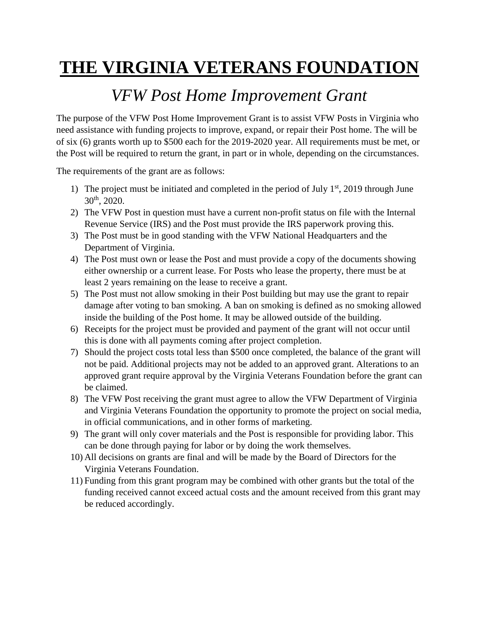## *VFW Post Home Improvement Grant*

The purpose of the VFW Post Home Improvement Grant is to assist VFW Posts in Virginia who need assistance with funding projects to improve, expand, or repair their Post home. The will be of six (6) grants worth up to \$500 each for the 2019-2020 year. All requirements must be met, or the Post will be required to return the grant, in part or in whole, depending on the circumstances.

The requirements of the grant are as follows:

- 1) The project must be initiated and completed in the period of July  $1<sup>st</sup>$ , 2019 through June  $30^{th}$ , 2020.
- 2) The VFW Post in question must have a current non-profit status on file with the Internal Revenue Service (IRS) and the Post must provide the IRS paperwork proving this.
- 3) The Post must be in good standing with the VFW National Headquarters and the Department of Virginia.
- 4) The Post must own or lease the Post and must provide a copy of the documents showing either ownership or a current lease. For Posts who lease the property, there must be at least 2 years remaining on the lease to receive a grant.
- 5) The Post must not allow smoking in their Post building but may use the grant to repair damage after voting to ban smoking. A ban on smoking is defined as no smoking allowed inside the building of the Post home. It may be allowed outside of the building.
- 6) Receipts for the project must be provided and payment of the grant will not occur until this is done with all payments coming after project completion.
- 7) Should the project costs total less than \$500 once completed, the balance of the grant will not be paid. Additional projects may not be added to an approved grant. Alterations to an approved grant require approval by the Virginia Veterans Foundation before the grant can be claimed.
- 8) The VFW Post receiving the grant must agree to allow the VFW Department of Virginia and Virginia Veterans Foundation the opportunity to promote the project on social media, in official communications, and in other forms of marketing.
- 9) The grant will only cover materials and the Post is responsible for providing labor. This can be done through paying for labor or by doing the work themselves.
- 10) All decisions on grants are final and will be made by the Board of Directors for the Virginia Veterans Foundation.
- 11) Funding from this grant program may be combined with other grants but the total of the funding received cannot exceed actual costs and the amount received from this grant may be reduced accordingly.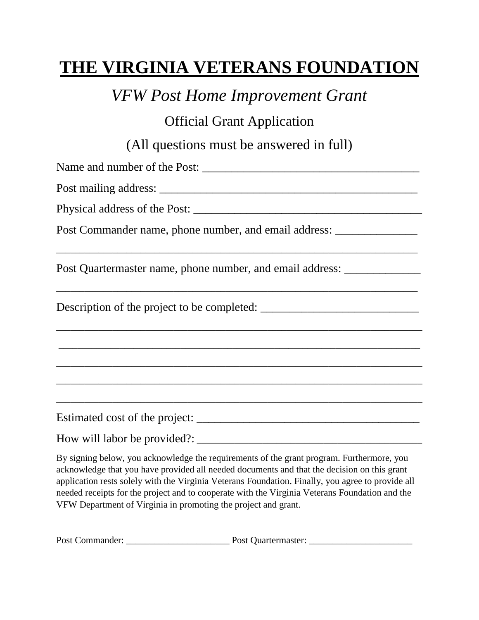*VFW Post Home Improvement Grant*

Official Grant Application

(All questions must be answered in full)

Name and number of the Post: \_\_\_\_\_\_\_\_\_\_\_\_\_\_\_\_\_\_\_\_\_\_\_\_\_\_\_\_\_\_\_\_\_\_\_\_\_ Post mailing address: \_\_\_\_\_\_\_\_\_\_\_\_\_\_\_\_\_\_\_\_\_\_\_\_\_\_\_\_\_\_\_\_\_\_\_\_\_\_\_\_\_\_\_\_ Physical address of the Post: Post Commander name, phone number, and email address: \_\_\_\_\_\_\_\_\_\_\_\_\_\_\_\_\_\_\_\_\_\_\_\_\_\_ \_\_\_\_\_\_\_\_\_\_\_\_\_\_\_\_\_\_\_\_\_\_\_\_\_\_\_\_\_\_\_\_\_\_\_\_\_\_\_\_\_\_\_\_\_\_\_\_\_\_\_\_\_\_\_\_\_\_\_\_\_\_\_\_\_\_\_\_\_\_\_\_\_\_\_\_\_ Post Quartermaster name, phone number, and email address: \_\_\_\_\_\_\_\_\_\_\_\_\_\_\_\_\_\_\_\_\_\_\_\_\_\_\_\_\_\_\_\_\_\_\_\_\_\_\_\_\_\_\_\_\_\_\_\_\_\_\_\_\_\_\_\_\_\_\_\_\_\_\_\_\_\_\_\_\_\_\_\_\_\_\_\_\_ Description of the project to be completed: \_\_\_\_\_\_\_\_\_\_\_\_\_\_\_\_\_\_\_\_\_\_\_\_\_\_\_\_\_\_\_\_\_\_\_\_\_\_\_\_\_\_\_\_\_\_\_\_\_\_\_\_\_\_\_\_\_\_\_\_\_\_\_\_\_\_\_\_\_\_\_\_\_\_\_\_\_\_ \_\_\_\_\_\_\_\_\_\_\_\_\_\_\_\_\_\_\_\_\_\_\_\_\_\_\_\_\_\_\_\_\_\_\_\_\_\_\_\_\_\_\_\_\_\_\_\_\_\_\_\_\_\_\_\_\_\_\_\_\_\_\_\_\_\_\_\_\_\_\_\_\_\_\_\_\_ \_\_\_\_\_\_\_\_\_\_\_\_\_\_\_\_\_\_\_\_\_\_\_\_\_\_\_\_\_\_\_\_\_\_\_\_\_\_\_\_\_\_\_\_\_\_\_\_\_\_\_\_\_\_\_\_\_\_\_\_\_\_\_\_\_\_\_\_\_\_\_\_\_\_\_\_\_\_ \_\_\_\_\_\_\_\_\_\_\_\_\_\_\_\_\_\_\_\_\_\_\_\_\_\_\_\_\_\_\_\_\_\_\_\_\_\_\_\_\_\_\_\_\_\_\_\_\_\_\_\_\_\_\_\_\_\_\_\_\_\_\_\_\_\_\_\_\_\_\_\_\_\_\_\_\_\_ \_\_\_\_\_\_\_\_\_\_\_\_\_\_\_\_\_\_\_\_\_\_\_\_\_\_\_\_\_\_\_\_\_\_\_\_\_\_\_\_\_\_\_\_\_\_\_\_\_\_\_\_\_\_\_\_\_\_\_\_\_\_\_\_\_\_\_\_\_\_\_\_\_\_\_\_\_\_ Estimated cost of the project: \_\_\_\_\_\_\_\_\_\_\_\_\_\_\_\_\_\_\_\_\_\_\_\_\_\_\_\_\_\_\_\_\_\_\_\_\_\_ How will labor be provided?: \_\_\_\_\_\_\_\_\_\_\_\_\_\_\_\_\_\_\_\_\_\_\_\_\_\_\_\_\_\_\_\_\_\_\_\_\_\_\_\_\_\_\_\_\_\_\_\_ By signing below, you acknowledge the requirements of the grant program. Furthermore, you

acknowledge that you have provided all needed documents and that the decision on this grant application rests solely with the Virginia Veterans Foundation. Finally, you agree to provide all needed receipts for the project and to cooperate with the Virginia Veterans Foundation and the VFW Department of Virginia in promoting the project and grant.

Post Commander: \_\_\_\_\_\_\_\_\_\_\_\_\_\_\_\_\_\_\_\_\_\_ Post Quartermaster: \_\_\_\_\_\_\_\_\_\_\_\_\_\_\_\_\_\_\_\_\_\_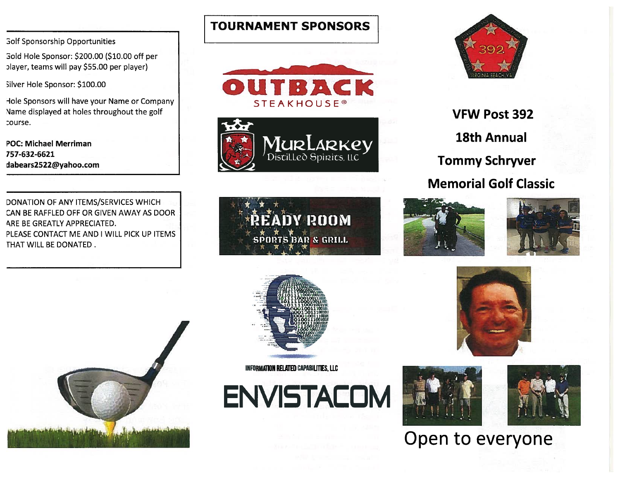**Golf Sponsorship Opportunities** 

Gold Hole Sponsor: \$200.00 (\$10.00 off per player, teams will pay \$55.00 per player)

Silver Hole Sponsor: \$100.00

Hole Sponsors will have your Name or Company Name displayed at holes throughout the golf course.

**POC: Michael Merriman** 757-632-6621 dabears2522@yahoo.com

DONATION OF ANY ITEMS/SERVICES WHICH CAN BE RAFFLED OFF OR GIVEN AWAY AS DOOR ARE BE GREATLY APPRECIATED. PLEASE CONTACT ME AND I WILL PICK UP ITEMS THAT WILL BE DONATED.



**TOURNAMENT SPONSORS** 







**VFW Post 392 18th Annual Tommy Schryver Memorial Golf Classic** 









INFORMATION RELATED CAPABILITIES, LLC







# Open to everyone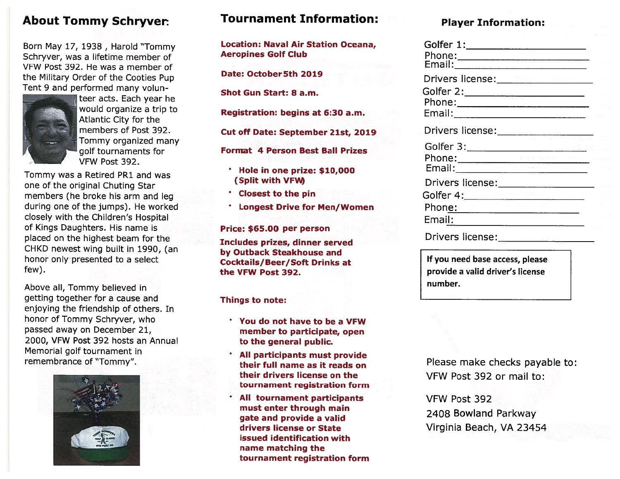### **About Tommy Schryver.**

Born May 17, 1938, Harold "Tommy Schryver, was a lifetime member of VFW Post 392. He was a member of the Military Order of the Cooties Pup Tent 9 and performed many volun-

![](_page_16_Picture_2.jpeg)

teer acts. Each year he would organize a trip to Atlantic City for the members of Post 392. Tommy organized many golf tournaments for VFW Post 392.

Tommy was a Retired PR1 and was one of the original Chuting Star members (he broke his arm and leg during one of the jumps). He worked closely with the Children's Hospital of Kings Daughters. His name is placed on the highest beam for the CHKD newest wing built in 1990, (an honor only presented to a select few).

Above all, Tommy believed in getting together for a cause and enjoying the friendship of others. In honor of Tommy Schryver, who passed away on December 21, 2000, VFW Post 392 hosts an Annual Memorial golf tournament in remembrance of "Tommy".

![](_page_16_Picture_6.jpeg)

### **Tournament Information:**

**Location: Naval Air Station Oceana, Aeropines Golf Club** 

Date: October 5th 2019

**Shot Gun Start: 8 a.m.** 

Registration: begins at 6:30 a.m.

Cut off Date: September 21st, 2019

**Format 4 Person Best Ball Prizes** 

- \* Hole in one prize: \$10,000 (Split with VFW)
- **Closest to the pin**
- \* Longest Drive for Men/Women

Price: \$65.00 per person

Includes prizes, dinner served by Outback Steakhouse and **Cocktails/Beer/Soft Drinks at** the VFW Post 392.

Things to note:

- You do not have to be a VFW member to participate, open to the general public.
- All participants must provide their full name as it reads on their drivers license on the tournament registration form
- All tournament participants must enter through main gate and provide a valid drivers license or State issued identification with name matching the tournament registration form

### **Plaver Information:**

| Drivers license: The Contract of the Drivers license: |  |
|-------------------------------------------------------|--|
|                                                       |  |
|                                                       |  |
|                                                       |  |
| Drivers license:_________________                     |  |
| Golfer 3:_____________________                        |  |
|                                                       |  |
|                                                       |  |
| Drivers license:________________                      |  |
|                                                       |  |
| Phon <u>e: __________________________</u>             |  |
| Email:                                                |  |
| Drivers license:_______________                       |  |
|                                                       |  |

If you need base access, please provide a valid driver's license number.

Please make checks payable to: VFW Post 392 or mail to:

VFW Post 392 2408 Bowland Parkway Virginia Beach, VA 23454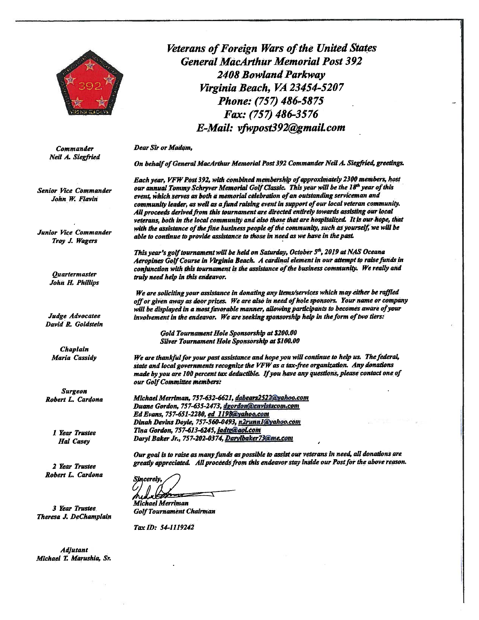![](_page_17_Picture_0.jpeg)

Veterans of Foreign Wars of the United States **General MacArthur Memorial Post 392 2408 Bowland Parkway** Virginia Beach. VA 23454-5207 Phone: (757) 486-5875 Fax: (757) 486-3576 E-Mail: vfwpost392@gmail.com

#### **Dear Sir or Madam,**

On behalf of General MacArthur Memorial Post 392 Commander Neil A. Siegfried, greetings.

Each year, VFW Post 392, with combined membership of approximately 2300 members, host our annual Tommy Schryver Memorial Golf Classic. This year will be the 18th year of this event, which serves as both a memorial celebration of an outstanding serviceman and community leader, as well as a fund raising event in support of our local veteran community. All proceeds derived from this tournament are directed entirely towards assisting our local veterans, both in the local community and also those that are hospitalized. It is our hope, that with the assistance of the fine business people of the community, such as yourself, we will be able to continue to provide assistance to those in need as we have in the past.

This year's golf tournament will be held on Saturday, October 5<sup>th</sup>, 2019 at NAS Oceana Aeropines Golf Course in Virginia Beach. A cardinal element in our attempt to raise funds in conjunction with this tournament is the assistance of the business community. We really and truly need help in this endeavor.

We are soliciting your assistance in donating any items/services which may either be raffled off or given away as door prizes. We are also in need of hole sponsors. Your name or company will be displayed in a most favorable manner, allowing participants to becomes aware of your involvement in the endeavor. We are seeking sponsorship help in the form of two tiers:

Gold Tournament Hole Sponsorship at \$200.00 Silver Tournament Hole Sponsorship at \$100.00

We are thankful for your past assistance and hope you will continue to help us. The federal, state and local governments recognize the VFW as a tax-free organization. Any donations made by you are 100 percent tax deductible. If you have any questions, please contact one of our Golf Committee members:

Michael Merriman, 757-632-6621, dabears2522@yahoo.com Duane Gordon, 757-635-2473, dgordon@envistacom.com Ed Evans, 757-651-2280, ed 1198@yahoo.com Dinah Devins Doyle, 757-560-0493, n2runnl@yahoo.com Tina Gordon, 757-613-6245, jadtg@aoLcom Daryl Baker Jr., 757-202-0374, Darylbaker 73@me.com

Our goal is to raise as many funds as possible to assist our veterans in need, all donations are greatly appreciated. All proceeds from this endeavor stay inside our Post for the above reason.

cerelv

**Michael Merriman Golf Tournament Chairman** 

Tax ID: 54-1119242

**Commander** Neil A. Siegfried

**Senior Vice Commander** John W. Flavin

Junior Vice Commander Troy J. Wagers

> **Ouartermaster John H. Phillips**

Judge Advocatee David R. Goldstein

> Chaplain Maria Cassidy

**Surgeon** Robert L. Cardona

> 1 Year Trustee **Hal Casey**

2 Year Trustee Robert L. Cardona

**3 Year Trustee** Theresa J. DeChamplain

**Adjutant** Michael T. Marushia, Sr.